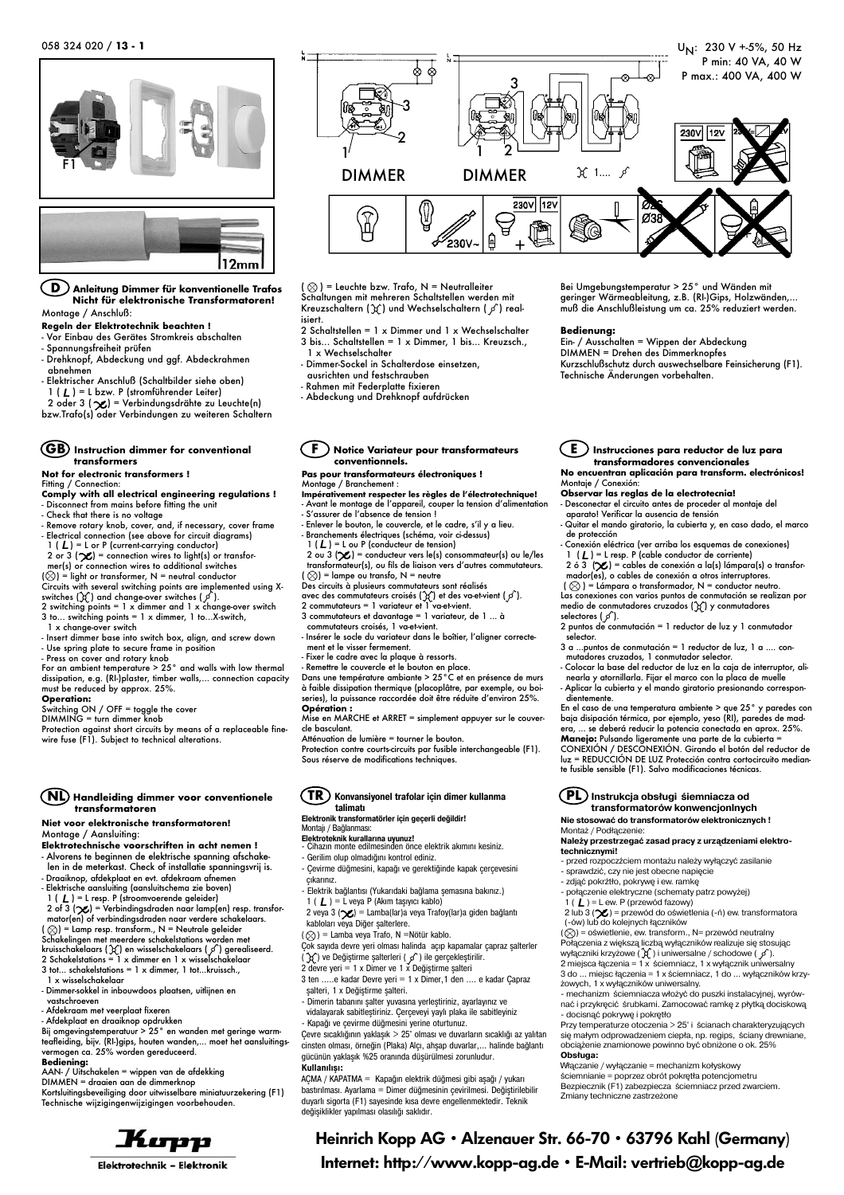F1 12mm

**D Anleitung Dimmer für konventionelle Trafos Nicht für elektronische Transformatoren!** Montage / Anschluß:

**Regeln der Elektrotechnik beachten !**

- Vor Einbau des Gerätes Stromkreis abschalten

- Spannungsfreiheit prüfen

- Drehknopf, Abdeckung und ggf. Abdeckrahmen abnehmen

- Elektrischer Anschluß (Schaltbilder siehe oben)

1 ( **L** ) = L bzw. P (stromführender Leiter)<br>2 oder 3 ( **X**) = Verbindungsdrähte zu Leuchte(n) bzw.Trafo(s) oder Verbindungen zu weiteren Schaltern

#### **GB Instruction dimmer for conventional transformers**

#### **Not for electronic transformers !**

Fitting / Connection

**Comply with all electrical engineering regulations !** - Disconnect from mains before fitting the unit - Check that there is no voltage

- 
- Remove rotary knob, cover, and, if necessary, cover frame Electrical connection (see above for circuit diagrams)
- 1 ( L ) = L or P (current-carrying conductor)  $\begin{array}{ccc} 1 & \text{(} L \\ 2 \text{ or } 3 \text{ (}\mathcal{L}) = \text{connection wires to light(s) or transform} \end{array}$  2 ou mer(s) or connection wires to additional switches
- (⊗) = light or transformer, N = neutral conductor<br>Circuits with several switching points are implemented using X-

switches  $(\chi)$  and change-over switches  $(\chi)$ .

2 switching points = 1 x dimmer and 1 x change-over switch 3 to... switching points = 1 x dimmer, 1 to...X-switch,

- 
- 1 x change-over switch Insert dimmer base into switch box, align, and screw down - Use spring plate to secure frame in position - Press on cover and rotary knob

For an ambient temperature > 25° and walls with low thermal dissipation, e.g. (RI-)plaster, timber walls,... connection capacity must be reduced by approx. 25%.

#### **Operation:**

itching ON / OFF = toggle the cover

DIMMING = turn dimmer knob

Protection against short circuits by means of a replaceable finewire fuse (F1). Subject to technical alterations.

#### **NL Handleiding dimmer voor conventionele transformatoren**

#### **Niet voor elektronische transformatoren!** Montage / Aansluiting:

**Elektrotechnische voorschriften in acht nemen !** - Alvorens te beginnen de elektrische spanning afschake-

len in de meterkast. Check of installatie spanningsvrij is. - Draaiknop, afdekplaat en evt. afdekraam afnemen

- 
- 

- Elektrische aansluiting (aansluitschema zie boven) 1 ( ) = L resp. P (stroomvoerende geleider) 2 of 3 ( ) = Verbindingsdraden naar lamp(en) resp. transfor-*L L L* mator(en) of verbindingsdraden naar verdere schakelaars.<br>( ⊗ ) = Lamp resp. transform., N = Neutrale geleider

- Schakelingen met meerdere schakelstations worden met<br>kruisschakelaars (X) en wisselschakelaars (ℐ) gerealiseerd.<br>2 Schakelstations = 1 x dimmer en 1 x wisselschakelaar
- 
- 3 tot... schakelstations = 1 x dimmer, 1 tot...kruissch., 1 x wisselschakelaar
- Dimmer-sokkel in inbouwdoos plaatsen, uitlijnen en vastschroeven
- 
- Afdekraam met veerplaat fixeren
- Afdekplaat en draaiknop opdrukken Bij omgevingstemperatuur > 25° en wanden met geringe warm-

teafleiding, bijv. (RI-)gips, houten wanden,... moet het aansluitings-vermogen ca. 25% worden gereduceerd.

### **Bediening:**

AAN- / Uitschakelen = wippen van de afdekking DIMMEN = draaien aan de dimmerknop

Kortsluitingsbeveiliging door uitwisselbare miniatuurzekering (F1) Technische wijzigingenwijzigingen voorbehouden.





 $(Q)$  = Leuchte bzw. Trafo, N = Neutralleiter Schaltungen mit mehreren Schaltstellen werden mit Kreuzschaltern ( $\chi$ ) und Wechselschaltern ( $\rho$ ) realisiert.

2 Schaltstellen = 1 x Dimmer und 1 x Wechselschalter 3 bis... Schaltstellen = 1 x Dimmer, 1 bis... Kreuzsch., 1 x Wechselschalter

- Dimmer-Sockel in Schalterdose einsetzen, ausrichten und festschrauben
- Rahmen mit Federplatte fixieren
- Abdeckung und Drehknopf aufdrücken

**F Notice Variateur pour transformateurs conventionnels.**

## **Pas pour transformateurs électroniques !**

- Montage / Branchement : **Impérativement respecter les règles de l'électrotechnique!** - Avant le montage de l'appareil, couper la tension d'alimentation - S'assurer de l'absence de tension !
- 
- Enlever le bouton, le couvercle, et le cadre, s'il y a lieu. Branchements électriques (schéma, voir ci-dessus)
- 

1 ( L ) = L ou P (conducteur de tension)<br>2 ou 3 (X ) = conducteur vers le(s) consommateur(s) ou le/les<br>transformateur(s), ou fils de liaison vers d'autres commutateurs.

- ( ⊗ ) = lampe ou transfo, N = neutre<br>Des circuits à plusieurs commutateurs sont réalisés
- avec des commutateurs croisés  $(\chi)$  et des va-et-vient  $(\mathscr{I}).$
- 2 commutateurs = 1 variateur et 1 va-et-vient. 3 commutateurs et davantage = 1 variateur, de 1 ... à
- commutateurs croisés, 1 va-et-vient.
- Insérer le socle du variateur dans le boîtier, l'aligner correctement et le visser fermement.
- 
- 

- Fixer le cadre avec la plaque à ressorts. - Remettre le couvercle et le bouton en place. Dans une température ambiante > 25°C et en présence de murs à faible dissipation thermique (placoplâtre, par exemple, ou boi-series), la puissance raccordée doit être réduite d'environ 25%. **Opération :**

Mise en MARCHE et ARRET = simplement appuyer sur le couvercle basculant.

Atténuation de lumière = tourner le bouton.

Protection contre courts-circuits par fusible interchangeable (F1). Sous réserve de modifications techniques.

#### **TR Konvansiyonel trafolar için dimer kullanma talimatı Elektronik transformatörler için geçerli değildir!**

Montajı / Bağlanması:

- 
- **Elektroteknik kurallarına uyunuz!** Cihazın monte edilmesinden önce elektrik akımını kesiniz.
- Gerilim olup olmadığını kontrol ediniz. -Çevirme düğmesini, kapağı ve gerektiğinde kapak çerçevesini
- çıkarınız. -Elektrik bağlantısı (Yukarıdaki bağlama şemasına bakınız.)
- 1 (  $I$  ) = L veya P (Akım taşıyıcı kablo)

2 veya 3 ( $\chi$ ) = Lamba(lar)a veya Trafoy(lar)a giden bağlantı kabloları veya Diğer şalterlere.

- $(Q)$  = Lamba veya Trafo, N =Nötür kablo.
- Çok sayıda devre yeri olması halinda açıp kapamalar çapraz şalterler
- ( రాస్ ) ve Değiştirme şalterleri ( ႒ ) ile gerçekleştirilir.<br>2 devre yeri = 1 x Dimer ve 1 x Değiştirme şalteri
- 3 ten .....e kadar Devre yeri = 1 x Dimer,1 den .... e kadar Çapraz
- şalteri, 1 x Değiştirme şalteri. Dimerin tabanını şalter yuvasına yerleştiriniz, ayarlayınız ve vidalayarak sabitleştiriniz. Çerçeveyi yaylı plaka ile sabitleyiniz -Kapağı ve çevirme düğmesini yerine oturtunuz.

Çevre sıcaklığının yaklaşık > 25° olması ve duvarların sıcaklığı az yalıtan cinsten olması, örneğin (Plaka) Alçı, ahşap duvarlar,... halinde bağlantı gücünün yaklaşık %25 oranında düşürülmesi zorunludur. **Kullanılışı:**

AÇMA / KAPATMA = Kapağın elektrik düğmesi gibi aşağı / yukarı bastırılması. Ayarlama = Dimer düğmesinin çevirilmesi. Değiştirilebilir duyarlı sigorta (F1) sayesinde kısa devre engellenmektedir. Teknik değişiklikler yapılması olasılığı saklıdır.

Bei Umgebungstemperatur > 25° und Wänden mit geringer Wärmeableitung, z.B. (RI-)Gips, Holzwänden,... muß die Anschlußleistung um ca. 25% reduziert werden.

#### **Bedienung:**

Ein- / Ausschalten = Wippen der Abdeckung DIMMEN = Drehen des Dimmerknopfes Kurzschlußschutz durch auswechselbare Feinsicherung (F1). Technische Änderungen vorbehalten.

**E Instrucciones para reductor de luz para transformadores convencionales No encuentran aplicación para transform. electrónicos!** Montaje / Conexión:

# **Observar las reglas de la electrotecnia!**

- Desconectar el circuito antes de proceder al montaje del aparato! Verificar la ausencia de tensión

- Quitar el mando giratorio, la cubierta y, en caso dado, el marco de protección
- Conexión eléctrica (ver arriba los esquemas de conexiones)<br>1 (**L**) = L resp. P (cable conductor de corriente)
- $2 6 3 (2) =$  cables de conexión a la(s) lámpara(s) o transformador(es), o cables de conexión a otros interruptores.<br>(  $\otimes$  ) = Lámpara o transformador, N = conductor neutro.
- Las conexiones con varios puntos de conmutación se realizan por<br>medio de conmutadores cruzados (ງ() y conmutadores
- selectores (  $\circ$  ). 2 puntos de conmutación = 1 reductor de luz y 1 conmutador selector.
- 3 a ...puntos de conmutación = 1 reductor de luz, 1 a .... conmutadores cruzados, 1 conmutador selector.
- Colocar la base del reductor de luz en la caja de interruptor, alinearla y atornillarla. Fijar el marco con la placa de muelle

**PL Instrukcja obsługi śiemniacza od transformatorów konwencjonlnych Nie stosować do transformatorów elektronicznych !**

**Należy przestrzegać zasad pracy z urządzeniami elektro**

1 (  $L$  ) = L ew. P (przewód fazowy)<br>2 lub 3 ( $\chi$ ) = przewód do oświetlenia (-ń) ew. transformatora<br>(-ów) lub do kolejnych łączników<br>( $\circ$ ) = oświetlenie, ew. transform., N= przewód neutralny

Połączenia z większą liczbą wyłączników realizuje się stosując<br>wyłączniki krzyżowe (´χ´) i uniwersalne / schodowe ( ∫∕ ).<br>2 miejsca łączenia = 1 x ściemniacz, 1 x wyłącznik uniwersalny 3 do ... miejsc łączenia = 1 x ściemniacz, 1 do ... wyłączników krzy

 mechanizm ściemniacza włożyć do puszki instalacyjnej, wyrów nać i przykręcić śrubkami. Zamocować ramkę z płytką dociskową

Przy temperaturze otoczenia > 25° i ścianach charakteryzujących się małym odprowadzeniem ciepła, np. regips, ściany drewniane, obciążenie znamionowe powinno być obniżone o ok. 25%

przed rozpoczźciem montażu należy wyłączyć zasilanie

połączenie elektryczne (schematy patrz powyżej)

 sprawdzić, czy nie jest obecne napięcie zdjąć pokrźtło, pokrywę i ew. ramkę

żowych, 1 x wyłączników uniwersalny.

Włączanie / wyłączanie = mechanizm kołyskowy ściemnianie = poprzez obrót pokrętła potencjometru Bezpiecznik (F1) zabezpiecza ściemniacz przed zwarciem.

docisnąć pokrywę i pokrętło

Zmiany techniczne zastrzeżone

**Obsługa:**

Heinrich Kopp AG • Alzenauer Str. 66-70 • 63796 Kahl (Germany) Internet: http://www.kopp-ag.de • E-Mail: vertrieb**@**kopp-ag.de

Montaż / Podłączenie:

**technicznymi!**

Aplicar la cubierta y el mando giratorio presionando correspondientemente. En el caso de una temperatura ambiente > que 25° y paredes con baja disipación térmica, por ejemplo, yeso (RI), paredes de mad-

era, ... se deberá reducir la potencia conectada en aprox. 25%. **Manejo:** Pulsando ligeramente una parte de la cubierta =<br>CONEXIÓN / DESCONEXIÓN. Girando el botón del reductor de luz = REDUCCIÓN DE LUZ Protección contra cortocircuito median-te fusible sensible (F1). Salvo modificaciones técnicas.